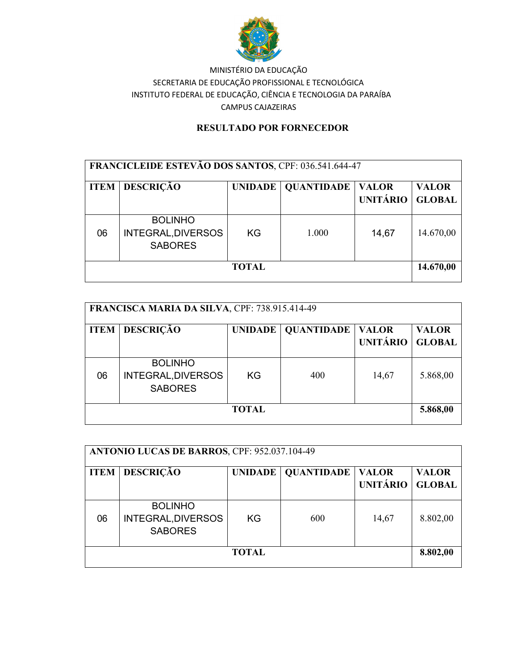

### RESULTADO POR FORNECEDOR

| FRANCICLEIDE ESTEVÃO DOS SANTOS, CPF: 036.541.644-47 |                                                        |                |                   |                                 |                               |  |  |
|------------------------------------------------------|--------------------------------------------------------|----------------|-------------------|---------------------------------|-------------------------------|--|--|
| <b>ITEM</b>                                          | <b>DESCRIÇÃO</b>                                       | <b>UNIDADE</b> | <b>QUANTIDADE</b> | <b>VALOR</b><br><b>UNITÁRIO</b> | <b>VALOR</b><br><b>GLOBAL</b> |  |  |
| 06                                                   | <b>BOLINHO</b><br>INTEGRAL, DIVERSOS<br><b>SABORES</b> | KG             | 1.000             | 14,67                           | 14.670,00                     |  |  |
| <b>TOTAL</b>                                         |                                                        |                |                   |                                 |                               |  |  |

| FRANCISCA MARIA DA SILVA, CPF: 738.915.414-49 |                                                        |                |                   |                                 |                               |  |  |
|-----------------------------------------------|--------------------------------------------------------|----------------|-------------------|---------------------------------|-------------------------------|--|--|
| <b>ITEM</b>                                   | <b>DESCRIÇÃO</b>                                       | <b>UNIDADE</b> | <b>QUANTIDADE</b> | <b>VALOR</b><br><b>UNITÁRIO</b> | <b>VALOR</b><br><b>GLOBAL</b> |  |  |
| 06                                            | <b>BOLINHO</b><br>INTEGRAL, DIVERSOS<br><b>SABORES</b> | <b>KG</b>      | 400               | 14,67                           | 5.868,00                      |  |  |
| <b>TOTAL</b>                                  |                                                        |                |                   |                                 |                               |  |  |

| ANTONIO LUCAS DE BARROS, CPF: 952.037.104-49 |                                                        |                |                   |                                 |                               |  |  |
|----------------------------------------------|--------------------------------------------------------|----------------|-------------------|---------------------------------|-------------------------------|--|--|
| <b>ITEM</b>                                  | <b>DESCRIÇÃO</b>                                       | <b>UNIDADE</b> | <b>QUANTIDADE</b> | <b>VALOR</b><br><b>UNITÁRIO</b> | <b>VALOR</b><br><b>GLOBAL</b> |  |  |
| 06                                           | <b>BOLINHO</b><br>INTEGRAL, DIVERSOS<br><b>SABORES</b> | KG             | 600               | 14,67                           | 8.802,00                      |  |  |
| <b>TOTAL</b>                                 |                                                        |                |                   |                                 |                               |  |  |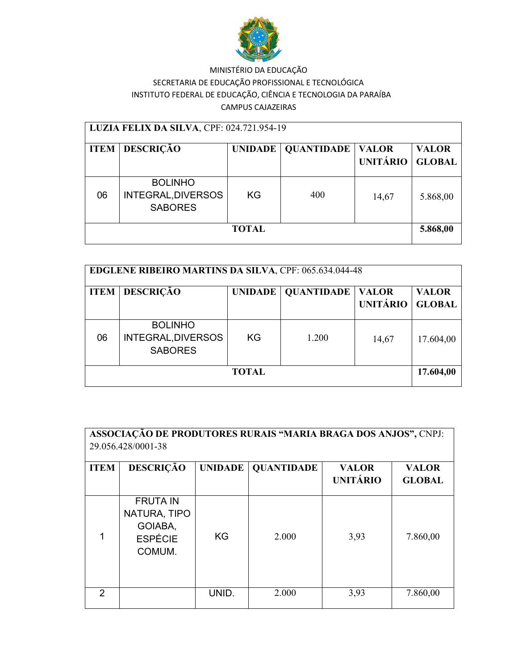

| LUZIA FELIX DA SILVA, CPF: 024.721.954-19 |                                                        |     |                      |                                 |                               |  |  |
|-------------------------------------------|--------------------------------------------------------|-----|----------------------|---------------------------------|-------------------------------|--|--|
| <b>ITEM</b>                               | <b>DESCRIÇÃO</b>                                       |     | UNIDADE   QUANTIDADE | <b>VALOR</b><br><b>UNITÁRIO</b> | <b>VALOR</b><br><b>GLOBAL</b> |  |  |
| 06                                        | <b>BOLINHO</b><br>INTEGRAL, DIVERSOS<br><b>SABORES</b> | KG. | 400                  | 14,67                           | 5.868,00                      |  |  |
| <b>TOTAL</b>                              |                                                        |     |                      |                                 |                               |  |  |

| <b>EDGLENE RIBEIRO MARTINS DA SILVA, CPF: 065.634.044-48</b> |                                                        |                |                   |                                 |                               |  |  |
|--------------------------------------------------------------|--------------------------------------------------------|----------------|-------------------|---------------------------------|-------------------------------|--|--|
| <b>ITEM</b>                                                  | <b>DESCRIÇÃO</b>                                       | <b>UNIDADE</b> | <b>QUANTIDADE</b> | <b>VALOR</b><br><b>UNITÁRIO</b> | <b>VALOR</b><br><b>GLOBAL</b> |  |  |
| 06                                                           | <b>BOLINHO</b><br>INTEGRAL, DIVERSOS<br><b>SABORES</b> | <b>KG</b>      | 1.200             | 14,67                           | 17.604,00                     |  |  |
| TOTAL                                                        |                                                        |                |                   |                                 |                               |  |  |

| ASSOCIAÇÃO DE PRODUTORES RURAIS "MARIA BRAGA DOS ANJOS", CNPJ:<br>29.056.428/0001-38 |                                                                        |                |                   |                                 |                               |  |
|--------------------------------------------------------------------------------------|------------------------------------------------------------------------|----------------|-------------------|---------------------------------|-------------------------------|--|
| <b>ITEM</b>                                                                          | <b>DESCRIÇÃO</b>                                                       | <b>UNIDADE</b> | <b>QUANTIDADE</b> | <b>VALOR</b><br><b>UNITÁRIO</b> | <b>VALOR</b><br><b>GLOBAL</b> |  |
|                                                                                      | <b>FRUTA IN</b><br>NATURA, TIPO<br>GOIABA,<br><b>ESPÉCIE</b><br>COMUM. | <b>KG</b>      | 2.000             | 3,93                            | 7.860,00                      |  |
| $\mathcal{P}$                                                                        |                                                                        | UNID.          | 2.000             | 3,93                            | 7.860,00                      |  |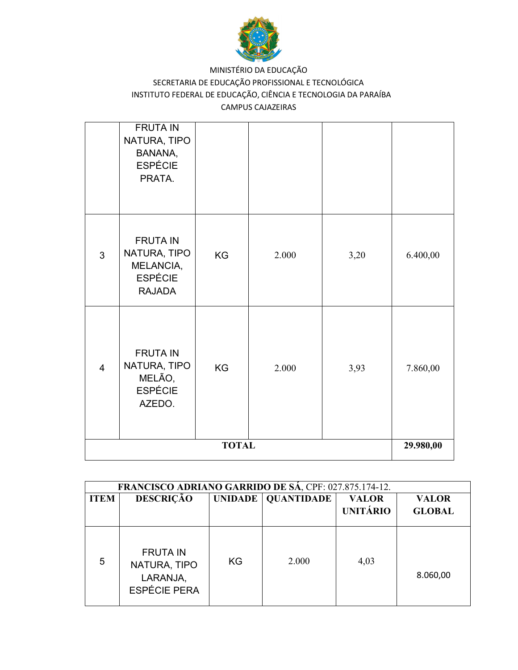

|                | <b>FRUTA IN</b><br>NATURA, TIPO<br>BANANA,<br><b>ESPÉCIE</b><br>PRATA.          |           |       |      |           |
|----------------|---------------------------------------------------------------------------------|-----------|-------|------|-----------|
| 3              | <b>FRUTA IN</b><br>NATURA, TIPO<br>MELANCIA,<br><b>ESPÉCIE</b><br><b>RAJADA</b> | <b>KG</b> | 2.000 | 3,20 | 6.400,00  |
| $\overline{4}$ | <b>FRUTA IN</b><br>NATURA, TIPO<br>MELÃO,<br><b>ESPÉCIE</b><br>AZEDO.           | KG        | 2.000 | 3,93 | 7.860,00  |
| <b>TOTAL</b>   |                                                                                 |           |       |      | 29.980,00 |

|             | FRANCISCO ADRIANO GARRIDO DE SÁ, CPF: 027.875.174-12.              |     |                      |                                 |                               |  |  |
|-------------|--------------------------------------------------------------------|-----|----------------------|---------------------------------|-------------------------------|--|--|
| <b>ITEM</b> | <b>DESCRIÇÃO</b>                                                   |     | UNIDADE   QUANTIDADE | <b>VALOR</b><br><b>UNITÁRIO</b> | <b>VALOR</b><br><b>GLOBAL</b> |  |  |
| 5           | <b>FRUTA IN</b><br>NATURA, TIPO<br>LARANJA,<br><b>ESPÉCIE PERA</b> | KG. | 2.000                | 4,03                            | 8.060,00                      |  |  |